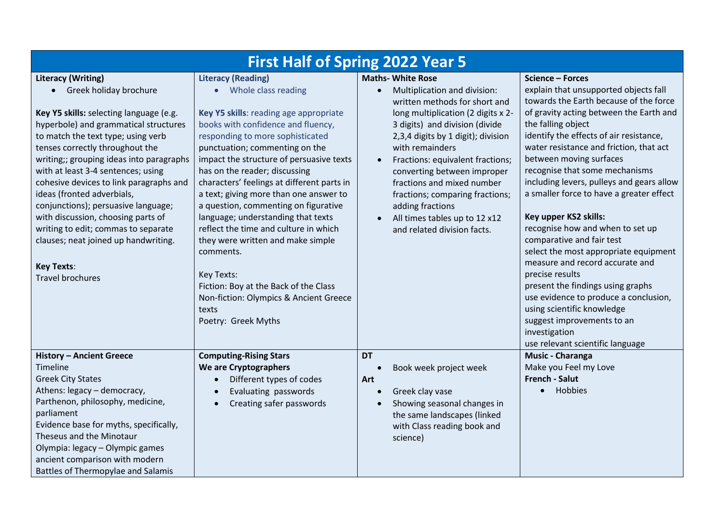| <b>First Half of Spring 2022 Year 5</b>                                                                                                                                                                                                                                                                                                                                                                                                                                                                                                                                                   |                                                                                                                                                                                                                                                                                                                                                                                                                                                                                                                                                                                                                                                                                       |                                                                                                                                                                                                                                                                                                                                                                                                                                                    |                                                                                                                                                                                                                                                                                                                                                                                                                                                                                                                                                                                                                                                                                                                                                                      |  |
|-------------------------------------------------------------------------------------------------------------------------------------------------------------------------------------------------------------------------------------------------------------------------------------------------------------------------------------------------------------------------------------------------------------------------------------------------------------------------------------------------------------------------------------------------------------------------------------------|---------------------------------------------------------------------------------------------------------------------------------------------------------------------------------------------------------------------------------------------------------------------------------------------------------------------------------------------------------------------------------------------------------------------------------------------------------------------------------------------------------------------------------------------------------------------------------------------------------------------------------------------------------------------------------------|----------------------------------------------------------------------------------------------------------------------------------------------------------------------------------------------------------------------------------------------------------------------------------------------------------------------------------------------------------------------------------------------------------------------------------------------------|----------------------------------------------------------------------------------------------------------------------------------------------------------------------------------------------------------------------------------------------------------------------------------------------------------------------------------------------------------------------------------------------------------------------------------------------------------------------------------------------------------------------------------------------------------------------------------------------------------------------------------------------------------------------------------------------------------------------------------------------------------------------|--|
| <b>Literacy (Writing)</b><br>• Greek holiday brochure<br>Key Y5 skills: selecting language (e.g.<br>hyperbole) and grammatical structures<br>to match the text type; using verb<br>tenses correctly throughout the<br>writing;; grouping ideas into paragraphs<br>with at least 3-4 sentences; using<br>cohesive devices to link paragraphs and<br>ideas (fronted adverbials,<br>conjunctions); persuasive language;<br>with discussion, choosing parts of<br>writing to edit; commas to separate<br>clauses; neat joined up handwriting.<br><b>Key Texts:</b><br><b>Travel brochures</b> | <b>Literacy (Reading)</b><br>Whole class reading<br>Key Y5 skills: reading age appropriate<br>books with confidence and fluency,<br>responding to more sophisticated<br>punctuation; commenting on the<br>impact the structure of persuasive texts<br>has on the reader; discussing<br>characters' feelings at different parts in<br>a text; giving more than one answer to<br>a question, commenting on figurative<br>language; understanding that texts<br>reflect the time and culture in which<br>they were written and make simple<br>comments.<br>Key Texts:<br>Fiction: Boy at the Back of the Class<br>Non-fiction: Olympics & Ancient Greece<br>texts<br>Poetry: Greek Myths | <b>Maths- White Rose</b><br>Multiplication and division:<br>written methods for short and<br>long multiplication (2 digits x 2-<br>3 digits) and division (divide<br>2,3,4 digits by 1 digit); division<br>with remainders<br>Fractions: equivalent fractions;<br>converting between improper<br>fractions and mixed number<br>fractions; comparing fractions;<br>adding fractions<br>All times tables up to 12 x12<br>and related division facts. | Science - Forces<br>explain that unsupported objects fall<br>towards the Earth because of the force<br>of gravity acting between the Earth and<br>the falling object<br>identify the effects of air resistance,<br>water resistance and friction, that act<br>between moving surfaces<br>recognise that some mechanisms<br>including levers, pulleys and gears allow<br>a smaller force to have a greater effect<br>Key upper KS2 skills:<br>recognise how and when to set up<br>comparative and fair test<br>select the most appropriate equipment<br>measure and record accurate and<br>precise results<br>present the findings using graphs<br>use evidence to produce a conclusion,<br>using scientific knowledge<br>suggest improvements to an<br>investigation |  |
| <b>History - Ancient Greece</b><br>Timeline<br><b>Greek City States</b><br>Athens: legacy - democracy,<br>Parthenon, philosophy, medicine,<br>parliament<br>Evidence base for myths, specifically,<br>Theseus and the Minotaur<br>Olympia: legacy - Olympic games<br>ancient comparison with modern<br>Battles of Thermopylae and Salamis                                                                                                                                                                                                                                                 | <b>Computing-Rising Stars</b><br>We are Cryptographers<br>Different types of codes<br>$\bullet$<br>Evaluating passwords<br>$\bullet$<br>Creating safer passwords<br>$\bullet$                                                                                                                                                                                                                                                                                                                                                                                                                                                                                                         | <b>DT</b><br>Book week project week<br>Art<br>Greek clay vase<br>Showing seasonal changes in<br>the same landscapes (linked<br>with Class reading book and<br>science)                                                                                                                                                                                                                                                                             | use relevant scientific language<br>Music - Charanga<br>Make you Feel my Love<br><b>French - Salut</b><br>Hobbies<br>$\bullet$                                                                                                                                                                                                                                                                                                                                                                                                                                                                                                                                                                                                                                       |  |